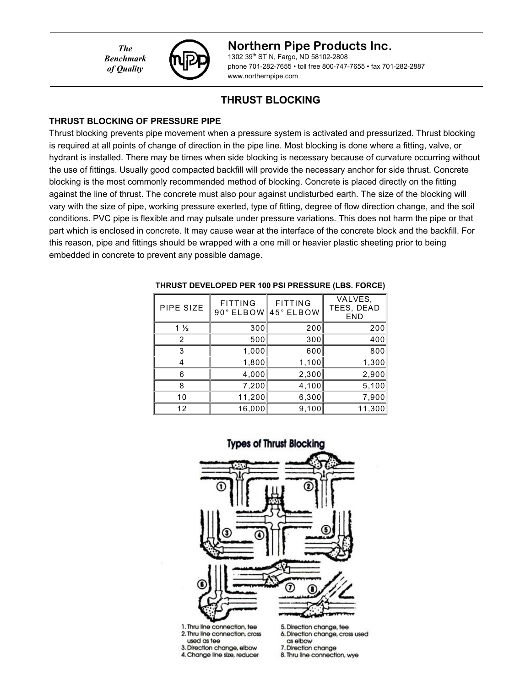*The Benchmark of Quality*



### **Northern Pipe Products Inc.**

1302 39th ST N, Fargo, ND 58102-2808 phone 701-282-7655 • toll free 800-747-7655 • fax 701-282-2887 www.northernpipe.com

## **THRUST BLOCKING**

### **THRUST BLOCKING OF PRESSURE PIPE**

Thrust blocking prevents pipe movement when a pressure system is activated and pressurized. Thrust blocking is required at all points of change of direction in the pipe line. Most blocking is done where a fitting, valve, or hydrant is installed. There may be times when side blocking is necessary because of curvature occurring without the use of fittings. Usually good compacted backfill will provide the necessary anchor for side thrust. Concrete blocking is the most commonly recommended method of blocking. Concrete is placed directly on the fitting against the line of thrust. The concrete must also pour against undisturbed earth. The size of the blocking will vary with the size of pipe, working pressure exerted, type of fitting, degree of flow direction change, and the soil conditions. PVC pipe is flexible and may pulsate under pressure variations. This does not harm the pipe or that part which is enclosed in concrete. It may cause wear at the interface of the concrete block and the backfill. For this reason, pipe and fittings should be wrapped with a one mill or heavier plastic sheeting prior to being embedded in concrete to prevent any possible damage.

| PIPE SIZE         | <b>FITTING</b><br>$90°$ ELBOW | <b>FITTING</b><br>45° ELBOW | VALVES,<br>TEES, DEAD<br><b>END</b> |
|-------------------|-------------------------------|-----------------------------|-------------------------------------|
| 1 $\frac{1}{2}$   | 300                           | 200                         | 200                                 |
| 2                 | 500                           | 300                         | 400                                 |
| 3                 | 1,000                         | 600                         | 800                                 |
|                   | 1,800                         | 1,100                       | 1,300                               |
| 6                 | 4,000                         | 2,300                       | 2,900                               |
| 8                 | 7,200                         | 4,100                       | 5,100                               |
| 10                | 11,200                        | 6,300                       | 7,900                               |
| $12 \overline{ }$ | 16,000                        | 9,100                       | 11,300                              |

#### **THRUST DEVELOPED PER 100 PSI PRESSURE (LBS. FORCE)**